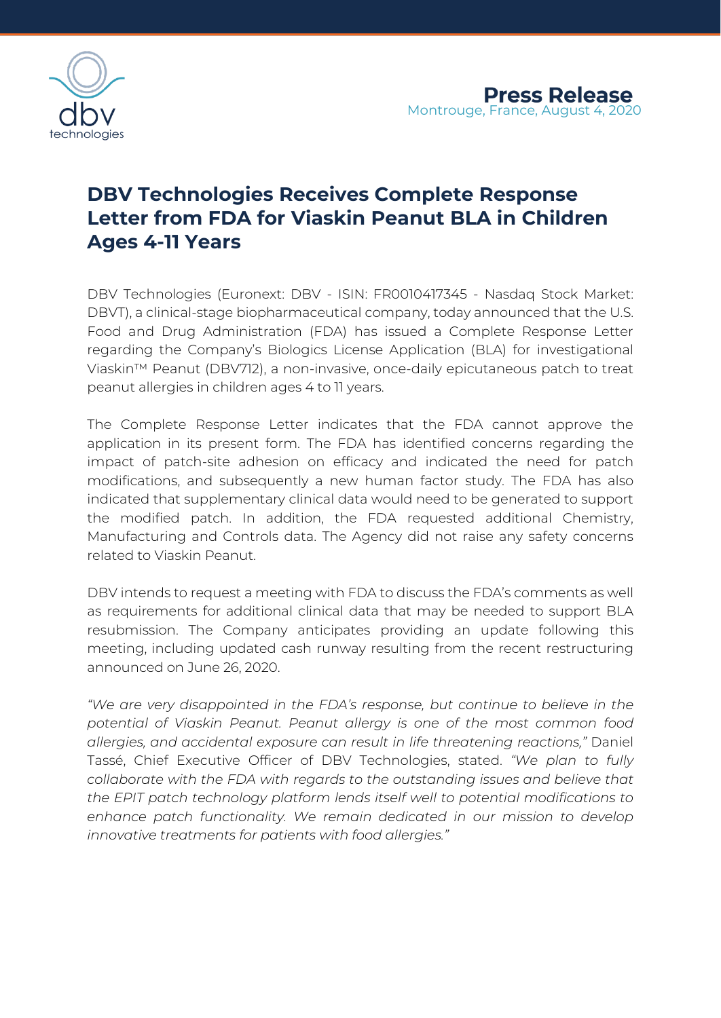

## **DBV Technologies Receives Complete Response Letter from FDA for Viaskin Peanut BLA in Children Ages 4-11 Years**

DBV Technologies (Euronext: DBV - ISIN: FR0010417345 - Nasdaq Stock Market: DBVT), a clinical-stage biopharmaceutical company, today announced that the U.S. Food and Drug Administration (FDA) has issued a Complete Response Letter regarding the Company's Biologics License Application (BLA) for investigational Viaskin™ Peanut (DBV712), a non-invasive, once-daily epicutaneous patch to treat peanut allergies in children ages 4 to 11 years.

The Complete Response Letter indicates that the FDA cannot approve the application in its present form. The FDA has identified concerns regarding the impact of patch-site adhesion on efficacy and indicated the need for patch modifications, and subsequently a new human factor study. The FDA has also indicated that supplementary clinical data would need to be generated to support the modified patch. In addition, the FDA requested additional Chemistry, Manufacturing and Controls data. The Agency did not raise any safety concerns related to Viaskin Peanut.

DBV intends to request a meeting with FDA to discuss the FDA's comments as well as requirements for additional clinical data that may be needed to support BLA resubmission. The Company anticipates providing an update following this meeting, including updated cash runway resulting from the recent restructuring announced on June 26, 2020.

*"We are very disappointed in the FDA's response, but continue to believe in the potential of Viaskin Peanut. Peanut allergy is one of the most common food allergies, and accidental exposure can result in life threatening reactions,"* Daniel Tassé, Chief Executive Officer of DBV Technologies, stated. *"We plan to fully collaborate with the FDA with regards to the outstanding issues and believe that the EPIT patch technology platform lends itself well to potential modifications to enhance patch functionality. We remain dedicated in our mission to develop innovative treatments for patients with food allergies."*